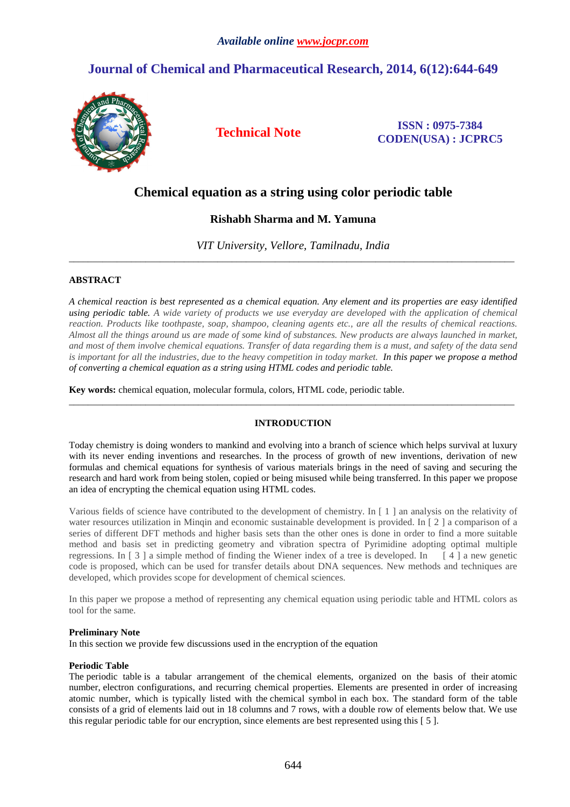# **Journal of Chemical and Pharmaceutical Research, 2014, 6(12):644-649**



**Technical Note ISSN : 0975-7384 CODEN(USA) : JCPRC5**

# **Chemical equation as a string using color periodic table**

# **Rishabh Sharma and M. Yamuna**

*VIT University, Vellore, Tamilnadu, India*  \_\_\_\_\_\_\_\_\_\_\_\_\_\_\_\_\_\_\_\_\_\_\_\_\_\_\_\_\_\_\_\_\_\_\_\_\_\_\_\_\_\_\_\_\_\_\_\_\_\_\_\_\_\_\_\_\_\_\_\_\_\_\_\_\_\_\_\_\_\_\_\_\_\_\_\_\_\_\_\_\_\_\_\_\_\_\_\_\_\_\_\_\_

## **ABSTRACT**

*A chemical reaction is best represented as a chemical equation. Any element and its properties are easy identified using periodic table. A wide variety of products we use everyday are developed with the application of chemical reaction. Products like toothpaste, soap, shampoo, cleaning agents etc., are all the results of chemical reactions. Almost all the things around us are made of some kind of substances. New products are always launched in market, and most of them involve chemical equations. Transfer of data regarding them is a must, and safety of the data send is important for all the industries, due to the heavy competition in today market. In this paper we propose a method of converting a chemical equation as a string using HTML codes and periodic table.* 

**Key words:** chemical equation, molecular formula, colors, HTML code, periodic table.

## **INTRODUCTION**

\_\_\_\_\_\_\_\_\_\_\_\_\_\_\_\_\_\_\_\_\_\_\_\_\_\_\_\_\_\_\_\_\_\_\_\_\_\_\_\_\_\_\_\_\_\_\_\_\_\_\_\_\_\_\_\_\_\_\_\_\_\_\_\_\_\_\_\_\_\_\_\_\_\_\_\_\_\_\_\_\_\_\_\_\_\_\_\_\_\_\_\_\_

Today chemistry is doing wonders to mankind and evolving into a branch of science which helps survival at luxury with its never ending inventions and researches. In the process of growth of new inventions, derivation of new formulas and chemical equations for synthesis of various materials brings in the need of saving and securing the research and hard work from being stolen, copied or being misused while being transferred. In this paper we propose an idea of encrypting the chemical equation using HTML codes.

Various fields of science have contributed to the development of chemistry. In [ 1 ] an analysis on the relativity of water resources utilization in Mingin and economic sustainable development is provided. In [2] a comparison of a series of different DFT methods and higher basis sets than the other ones is done in order to find a more suitable method and basis set in predicting geometry and vibration spectra of Pyrimidine adopting optimal multiple regressions. In  $\lceil 3 \rceil$  a simple method of finding the Wiener index of a tree is developed. In  $\lceil 4 \rceil$  a new genetic code is proposed, which can be used for transfer details about DNA sequences. New methods and techniques are developed, which provides scope for development of chemical sciences.

In this paper we propose a method of representing any chemical equation using periodic table and HTML colors as tool for the same.

## **Preliminary Note**

In this section we provide few discussions used in the encryption of the equation

### **Periodic Table**

The periodic table is a tabular arrangement of the chemical elements, organized on the basis of their atomic number, electron configurations, and recurring chemical properties. Elements are presented in order of increasing atomic number, which is typically listed with the chemical symbol in each box. The standard form of the table consists of a grid of elements laid out in 18 columns and 7 rows, with a double row of elements below that. We use this regular periodic table for our encryption, since elements are best represented using this [ 5 ].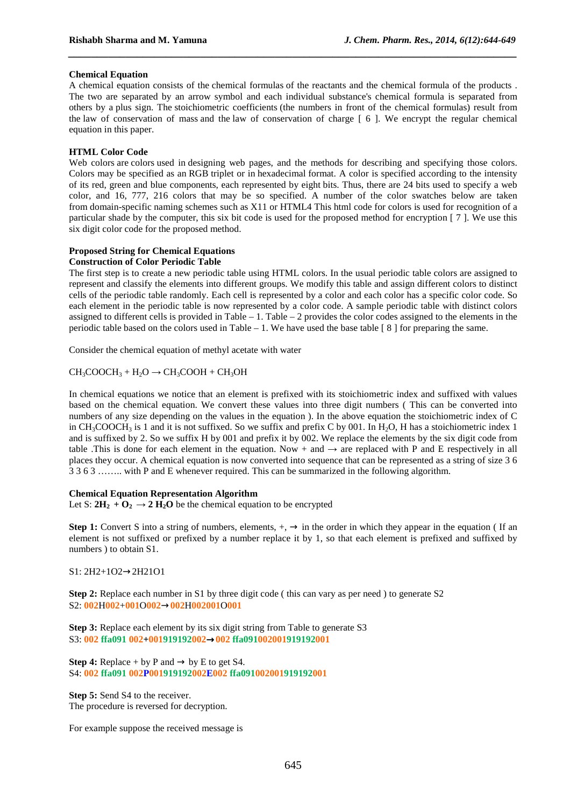#### **Chemical Equation**

A chemical equation consists of the chemical formulas of the reactants and the chemical formula of the products . The two are separated by an arrow symbol and each individual substance's chemical formula is separated from others by a plus sign. The stoichiometric coefficients (the numbers in front of the chemical formulas) result from the law of conservation of mass and the law of conservation of charge [ 6 ]. We encrypt the regular chemical equation in this paper.

*\_\_\_\_\_\_\_\_\_\_\_\_\_\_\_\_\_\_\_\_\_\_\_\_\_\_\_\_\_\_\_\_\_\_\_\_\_\_\_\_\_\_\_\_\_\_\_\_\_\_\_\_\_\_\_\_\_\_\_\_\_\_\_\_\_\_\_\_\_\_\_\_\_\_\_\_\_\_*

#### **HTML Color Code**

Web colors are colors used in designing web pages, and the methods for describing and specifying those colors. Colors may be specified as an RGB triplet or in hexadecimal format. A color is specified according to the intensity of its red, green and blue components, each represented by eight bits. Thus, there are 24 bits used to specify a web color, and 16, 777, 216 colors that may be so specified. A number of the color swatches below are taken from domain-specific naming schemes such as X11 or HTML4 This html code for colors is used for recognition of a particular shade by the computer, this six bit code is used for the proposed method for encryption [ 7 ]. We use this six digit color code for the proposed method.

# **Proposed String for Chemical Equations**

## **Construction of Color Periodic Table**

The first step is to create a new periodic table using HTML colors. In the usual periodic table colors are assigned to represent and classify the elements into different groups. We modify this table and assign different colors to distinct cells of the periodic table randomly. Each cell is represented by a color and each color has a specific color code. So each element in the periodic table is now represented by a color code. A sample periodic table with distinct colors assigned to different cells is provided in Table – 1. Table – 2 provides the color codes assigned to the elements in the periodic table based on the colors used in Table – 1. We have used the base table [ 8 ] for preparing the same.

Consider the chemical equation of methyl acetate with water

 $CH_3COOCH_3 + H_2O \rightarrow CH_3COOH + CH_3OH$ 

In chemical equations we notice that an element is prefixed with its stoichiometric index and suffixed with values based on the chemical equation. We convert these values into three digit numbers ( This can be converted into numbers of any size depending on the values in the equation ). In the above equation the stoichiometric index of C in  $CH_3COOCH_3$  is 1 and it is not suffixed. So we suffix and prefix C by 001. In H<sub>2</sub>O, H has a stoichiometric index 1 and is suffixed by 2. So we suffix H by 001 and prefix it by 002. We replace the elements by the six digit code from table .This is done for each element in the equation. Now + and  $\rightarrow$  are replaced with P and E respectively in all places they occur. A chemical equation is now converted into sequence that can be represented as a string of size 3 6 3 3 6 3 …….. with P and E whenever required. This can be summarized in the following algorithm.

#### **Chemical Equation Representation Algorithm**

Let S:  $2H_2 + O_2 \rightarrow 2H_2O$  be the chemical equation to be encrypted

**Step 1:** Convert S into a string of numbers, elements,  $+$ ,  $\rightarrow$  in the order in which they appear in the equation ( If an element is not suffixed or prefixed by a number replace it by 1, so that each element is prefixed and suffixed by numbers ) to obtain S1.

S1: 2H2+1O2→2H21O1

**Step 2:** Replace each number in S1 by three digit code ( this can vary as per need ) to generate S2 S2: **002**H**002**+**001**O**002**→**002**H**002001**O**001**

**Step 3:** Replace each element by its six digit string from Table to generate S3 S3: **002 ffa091 002+001919192002**→**002 ffa091002001919192001**

**Step 4:** Replace + by P and  $\rightarrow$  by E to get S4. S4: **002 ffa091 002P001919192002E002 ffa091002001919192001** 

**Step 5:** Send S4 to the receiver. The procedure is reversed for decryption.

For example suppose the received message is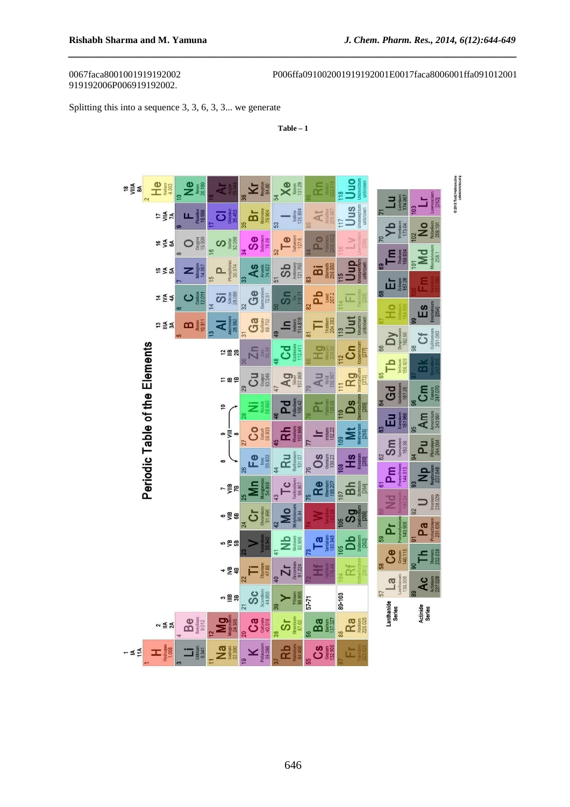# 919192006P006919192002.

0067faca8001001919192002 P006ffa091002001919192001E0017faca8006001ffa091012001

Splitting this into a sequence 3, 3, 6, 3, 3... we generate

**Table – 1** 

*\_\_\_\_\_\_\_\_\_\_\_\_\_\_\_\_\_\_\_\_\_\_\_\_\_\_\_\_\_\_\_\_\_\_\_\_\_\_\_\_\_\_\_\_\_\_\_\_\_\_\_\_\_\_\_\_\_\_\_\_\_\_\_\_\_\_\_\_\_\_\_\_\_\_\_\_\_\_*

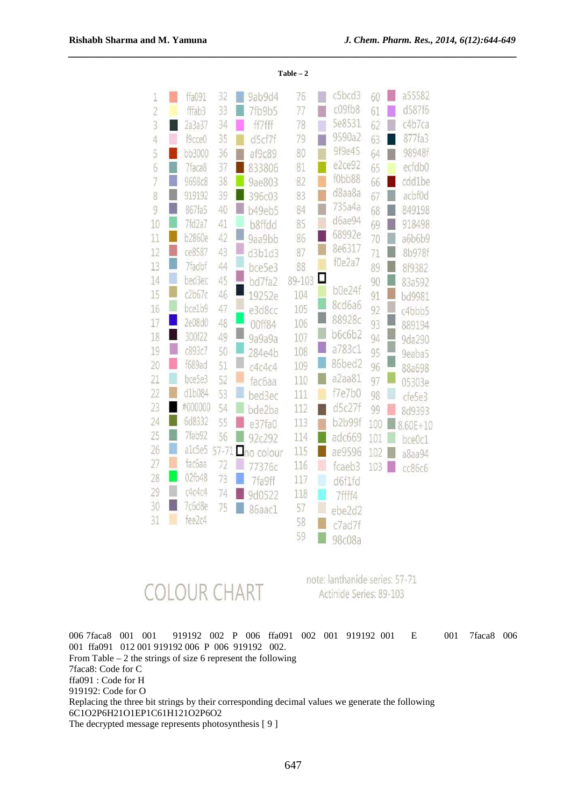| 1              |   | ffa091             | 32        | 9ab9d4            | 76     |        | c5bcd3           | 60  | L. | a55582       |
|----------------|---|--------------------|-----------|-------------------|--------|--------|------------------|-----|----|--------------|
| $\overline{2}$ |   | fffab3             | 33        | 7fb9b5            | 77     | ī      | c09fb8<br>5e8531 | 61  | m  | d587f6       |
| 3              |   | 2a3a37             | 34        | ff7fff            | 78     | Ū      | 9590a2           | 62  |    | c4b7ca       |
| $\ddot{4}$     | U | f9cce0             | 35        | d5cf7f            | 79     |        | 9f9e45           | 63  |    | 877fa3       |
| 5              |   | bb3000             | 36        | af9c89            | 80     |        | e2ce92           | 64  |    | 98948f       |
| 6              |   | 7faca8             | 37        | 833806            | 81     | u      | f0bb88           | 65  |    | ecfdb0       |
| 7              |   | 9698c8             | 38        | 9ae803<br>i       | 82     |        | d8aa8a           | 66  |    | cdd1be       |
| 8              |   | 919192             | 39        | ī<br>396c03       | 83     | H      | 735a4a           | 67  | F  | acbf0d       |
| 9              |   | 867fa5             | 40        | E<br>b49eb5       | 84     |        | d6ae94           | 68  |    | 849198       |
| 10             |   | 7f <sub>d2a7</sub> | 41        | b8ffdd            | 85     |        | 68992e           | 69  | Г  | 918498       |
| 11             | r | <b>b2860e</b>      | 42        | 9aa9bb            | 86     | U      | 8e6317           | 70  | I  | a6b6b9       |
| 12             | I | ce8587             | 43        | Į<br>d3b1d3       | 87     |        | f0e2a7           | 71  | I  | 8b978f       |
| 13             |   | 7fadbf             | 44        | i<br>bce5e3       | 88     |        |                  | 89  |    | 8f9382       |
| 14             | U | bed3ec             | 45        | L<br>bd7fa2       | 89-103 | ◻      | b0e24f           | 90  |    | 83a592       |
| 15             |   | c2b67c             | 46        | 19252e            | 104    |        | 8cd6a6           | 91  | L  | bd9981       |
| 16             |   | bce1b9             | 47        | e3d8cc            | 105    | L,     |                  | 92  | I  | c4bbb5       |
| 17             |   | 2e08d0             | 48        | 00ff84            | 106    |        | 88928c           | 93  |    | 889194       |
| 18             | U | 300f22             | 49        | I<br>9a9a9a       | 107    | $\Box$ | <b>b6c6b2</b>    | 94  |    | 9da290       |
| 19             | H | c893c7             | 50        | l<br>284e4b       | 108    | D      | a783c1           | 95  |    | 9eaba5       |
| 20             | I | f689ad             | 51        | L<br>c4c4c4       | 109    | L      | 86bed2           | 96  |    | 88a698       |
| 21             |   | bce5e3             | 52        | <b>fac6aa</b>     | 110    |        | a2aa81           | 97  |    | 05303e       |
| 22             |   | d1b084             | 53        | E<br>bed3ec       | 111    | H      | f7e7b0           | 98  | Г  | cfe5e3       |
| 23             |   | #000000            | 54        | ı<br>bde2ba       | 112    |        | d5c27f           | 99  |    | 8d9393       |
| 24             | ۱ | 6d8332             | 55        | Г<br>e37fa0       | 113    | I      | b2b99f           | 100 |    | $8.60E + 10$ |
| 25             |   | 7fab92             | 56        | 92c292            | 114    | Ū      | adc669           | 101 |    | bce0c1       |
| 26             | П | a1c5e5             | $57 - 71$ | <b>Tho colour</b> | 115    |        | ae9596           | 102 |    | a8aa94       |
| 27             | U | fac6aa             | 72        | 77376с            | 116    | O      | fcaeb3           | 103 |    | cc86c6       |
| 28             |   | 02fb48             | 73        | 7fa9ff            | 117    | ℿ      | d6f1fd           |     |    |              |
| 29             |   | c4c4c4             | 74        | 9d0522            | 118    |        | 7ffff4           |     |    |              |
| 30             |   | 7c6d8e             | 75        | n<br>86aacl       | 57     | O      | ebe2d2           |     |    |              |
| 31             |   | fee2c4             |           |                   | 58     |        | c7ad7f           |     |    |              |
|                |   |                    |           |                   | 59     |        | 98c08a           |     |    |              |

**Table – 2** 

*\_\_\_\_\_\_\_\_\_\_\_\_\_\_\_\_\_\_\_\_\_\_\_\_\_\_\_\_\_\_\_\_\_\_\_\_\_\_\_\_\_\_\_\_\_\_\_\_\_\_\_\_\_\_\_\_\_\_\_\_\_\_\_\_\_\_\_\_\_\_\_\_\_\_\_\_\_\_*

**COLOUR CHART** 

note: lanthanide series: 57-71 Actinide Series: 89-103

006 7faca8 001 001 919192 002 P 006 ffa091 002 001 919192 001 E 001 7faca8 006 001 ffa091 012 001 919192 006 P 006 919192 002. From Table  $-2$  the strings of size 6 represent the following 7faca8: Code for C ffa091 : Code for H 919192: Code for O Replacing the three bit strings by their corresponding decimal values we generate the following 6C1O2P6H21O1EP1C61H121O2P6O2 The decrypted message represents photosynthesis [ 9 ]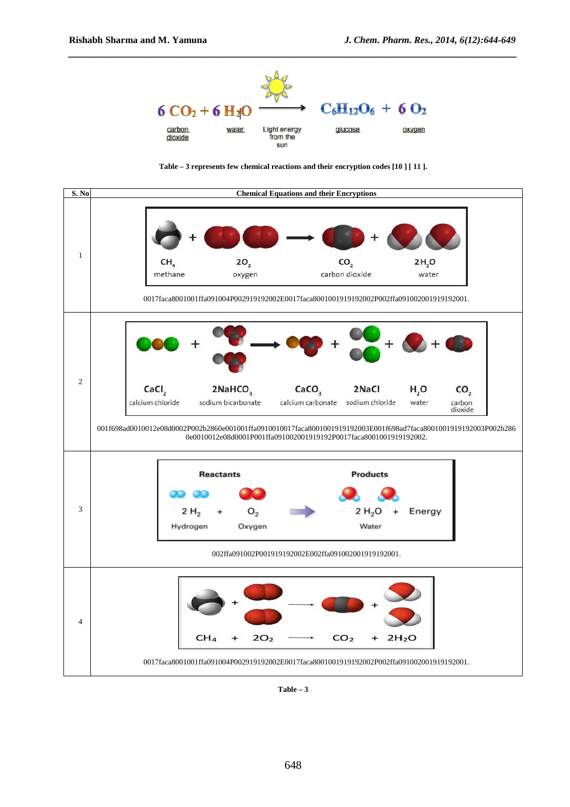

*\_\_\_\_\_\_\_\_\_\_\_\_\_\_\_\_\_\_\_\_\_\_\_\_\_\_\_\_\_\_\_\_\_\_\_\_\_\_\_\_\_\_\_\_\_\_\_\_\_\_\_\_\_\_\_\_\_\_\_\_\_\_\_\_\_\_\_\_\_\_\_\_\_\_\_\_\_\_*





**Table – 3**